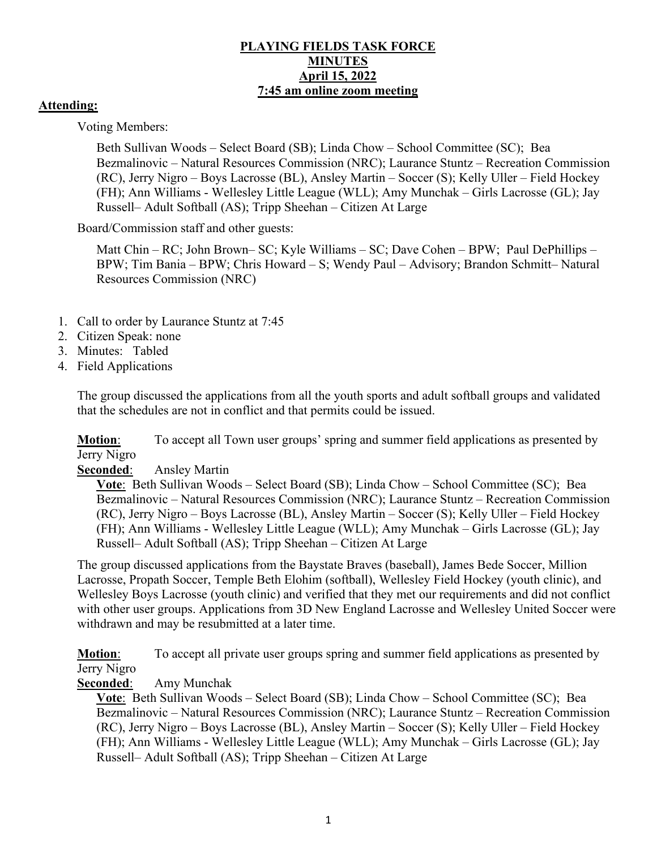### **PLAYING FIELDS TASK FORCE MINUTES April 15, 2022 7:45 am online zoom meeting**

### **Attending:**

Voting Members:

Beth Sullivan Woods – Select Board (SB); Linda Chow – School Committee (SC); Bea Bezmalinovic – Natural Resources Commission (NRC); Laurance Stuntz – Recreation Commission (RC), Jerry Nigro – Boys Lacrosse (BL), Ansley Martin – Soccer (S); Kelly Uller – Field Hockey (FH); Ann Williams - Wellesley Little League (WLL); Amy Munchak – Girls Lacrosse (GL); Jay Russell– Adult Softball (AS); Tripp Sheehan – Citizen At Large

Board/Commission staff and other guests:

Matt Chin – RC; John Brown– SC; Kyle Williams – SC; Dave Cohen – BPW; Paul DePhillips – BPW; Tim Bania – BPW; Chris Howard – S; Wendy Paul – Advisory; Brandon Schmitt– Natural Resources Commission (NRC)

- 1. Call to order by Laurance Stuntz at 7:45
- 2. Citizen Speak: none
- 3. Minutes: Tabled
- 4. Field Applications

The group discussed the applications from all the youth sports and adult softball groups and validated that the schedules are not in conflict and that permits could be issued.

**Motion:** To accept all Town user groups' spring and summer field applications as presented by Jerry Nigro

#### **Seconded**: Ansley Martin

**Vote**: Beth Sullivan Woods – Select Board (SB); Linda Chow – School Committee (SC); Bea Bezmalinovic – Natural Resources Commission (NRC); Laurance Stuntz – Recreation Commission (RC), Jerry Nigro – Boys Lacrosse (BL), Ansley Martin – Soccer (S); Kelly Uller – Field Hockey (FH); Ann Williams - Wellesley Little League (WLL); Amy Munchak – Girls Lacrosse (GL); Jay Russell– Adult Softball (AS); Tripp Sheehan – Citizen At Large

The group discussed applications from the Baystate Braves (baseball), James Bede Soccer, Million Lacrosse, Propath Soccer, Temple Beth Elohim (softball), Wellesley Field Hockey (youth clinic), and Wellesley Boys Lacrosse (youth clinic) and verified that they met our requirements and did not conflict with other user groups. Applications from 3D New England Lacrosse and Wellesley United Soccer were withdrawn and may be resubmitted at a later time.

**Motion**: To accept all private user groups spring and summer field applications as presented by Jerry Nigro

#### **Seconded**: Amy Munchak

**Vote**: Beth Sullivan Woods – Select Board (SB); Linda Chow – School Committee (SC); Bea Bezmalinovic – Natural Resources Commission (NRC); Laurance Stuntz – Recreation Commission (RC), Jerry Nigro – Boys Lacrosse (BL), Ansley Martin – Soccer (S); Kelly Uller – Field Hockey (FH); Ann Williams - Wellesley Little League (WLL); Amy Munchak – Girls Lacrosse (GL); Jay Russell– Adult Softball (AS); Tripp Sheehan – Citizen At Large